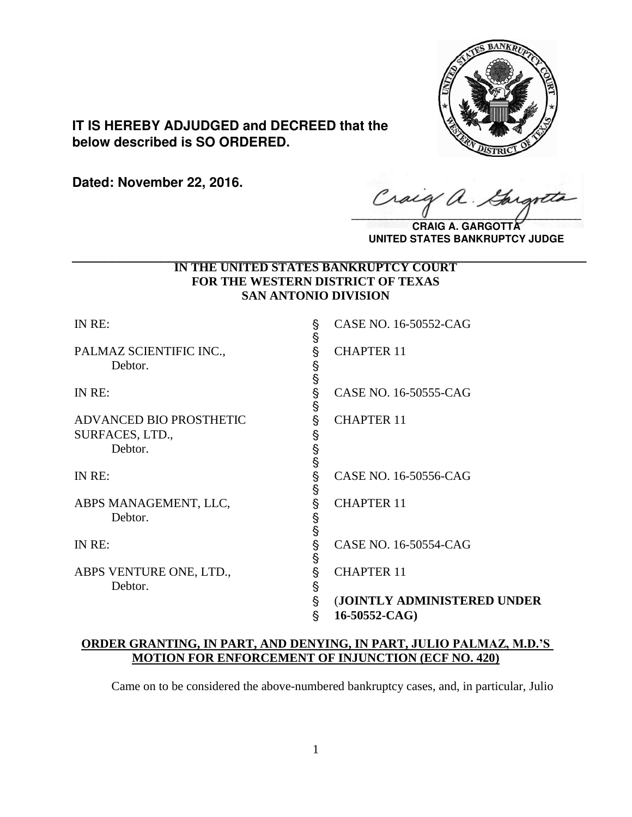

**IT IS HEREBY ADJUDGED and DECREED that the below described is SO ORDERED.**

**Dated: November 22, 2016.**

Cracq a.

**CRAIG A. UNITED STATES BANKRUPTCY JUDGE**

## **IN THE UNITED STATES BANKRUPTCY COURT FOR THE WESTERN DISTRICT OF TEXAS SAN ANTONIO DIVISION \_\_\_\_\_\_\_\_\_\_\_\_\_\_\_\_\_\_\_\_\_\_\_\_\_\_\_\_\_\_\_\_\_\_\_\_\_\_\_\_\_\_\_\_\_\_\_\_\_\_\_\_\_\_\_\_\_\_\_\_\_\_\_\_**

| IN RE:                             | s<br>S      | CASE NO. 16-50552-CAG       |
|------------------------------------|-------------|-----------------------------|
| PALMAZ SCIENTIFIC INC.,<br>Debtor. | §           | <b>CHAPTER 11</b>           |
| IN RE:                             | S S S S     | CASE NO. 16-50555-CAG       |
| ADVANCED BIO PROSTHETIC            | Ş           | <b>CHAPTER 11</b>           |
| SURFACES, LTD.,                    |             |                             |
| Debtor.                            | §<br>နှ     |                             |
| IN RE:                             | §<br>§      | CASE NO. 16-50556-CAG       |
| ABPS MANAGEMENT, LLC,<br>Debtor.   | Ş<br>§<br>§ | <b>CHAPTER 11</b>           |
| IN RE:                             | §<br>§      | CASE NO. 16-50554-CAG       |
| ABPS VENTURE ONE, LTD.,<br>Debtor. | Ş<br>Ş      | <b>CHAPTER 11</b>           |
|                                    | Ş           | (JOINTLY ADMINISTERED UNDER |
|                                    | §           | 16-50552-CAG)               |

# **ORDER GRANTING, IN PART, AND DENYING, IN PART, JULIO PALMAZ, M.D.'S MOTION FOR ENFORCEMENT OF INJUNCTION (ECF NO. 420)**

Came on to be considered the above-numbered bankruptcy cases, and, in particular, Julio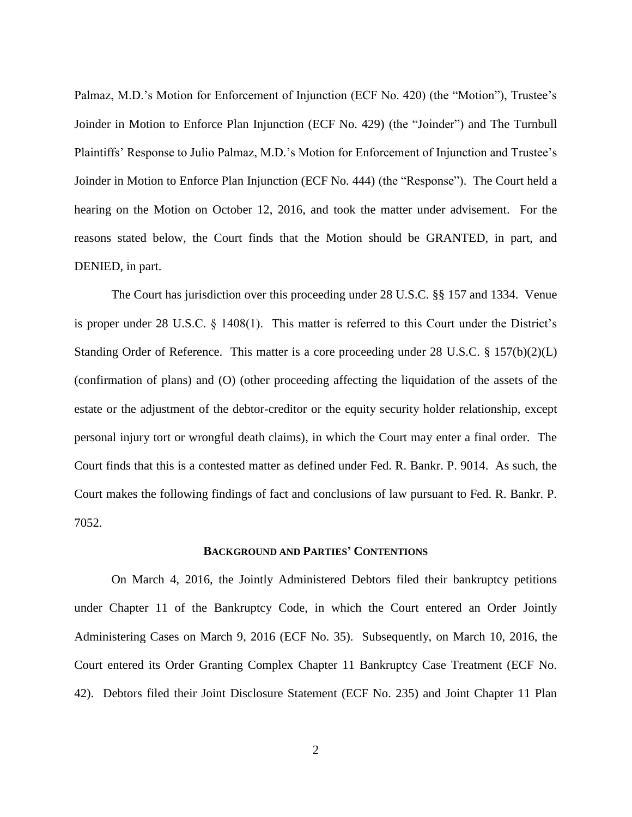Palmaz, M.D.'s Motion for Enforcement of Injunction (ECF No. 420) (the "Motion"), Trustee's Joinder in Motion to Enforce Plan Injunction (ECF No. 429) (the "Joinder") and The Turnbull Plaintiffs' Response to Julio Palmaz, M.D.'s Motion for Enforcement of Injunction and Trustee's Joinder in Motion to Enforce Plan Injunction (ECF No. 444) (the "Response"). The Court held a hearing on the Motion on October 12, 2016, and took the matter under advisement. For the reasons stated below, the Court finds that the Motion should be GRANTED, in part, and DENIED, in part.

The Court has jurisdiction over this proceeding under 28 U.S.C. §§ 157 and 1334. Venue is proper under 28 U.S.C. § 1408(1). This matter is referred to this Court under the District's Standing Order of Reference. This matter is a core proceeding under 28 U.S.C. § 157(b)(2)(L) (confirmation of plans) and (O) (other proceeding affecting the liquidation of the assets of the estate or the adjustment of the debtor-creditor or the equity security holder relationship, except personal injury tort or wrongful death claims), in which the Court may enter a final order. The Court finds that this is a contested matter as defined under Fed. R. Bankr. P. 9014. As such, the Court makes the following findings of fact and conclusions of law pursuant to Fed. R. Bankr. P. 7052.

### **BACKGROUND AND PARTIES' CONTENTIONS**

On March 4, 2016, the Jointly Administered Debtors filed their bankruptcy petitions under Chapter 11 of the Bankruptcy Code, in which the Court entered an Order Jointly Administering Cases on March 9, 2016 (ECF No. 35). Subsequently, on March 10, 2016, the Court entered its Order Granting Complex Chapter 11 Bankruptcy Case Treatment (ECF No. 42). Debtors filed their Joint Disclosure Statement (ECF No. 235) and Joint Chapter 11 Plan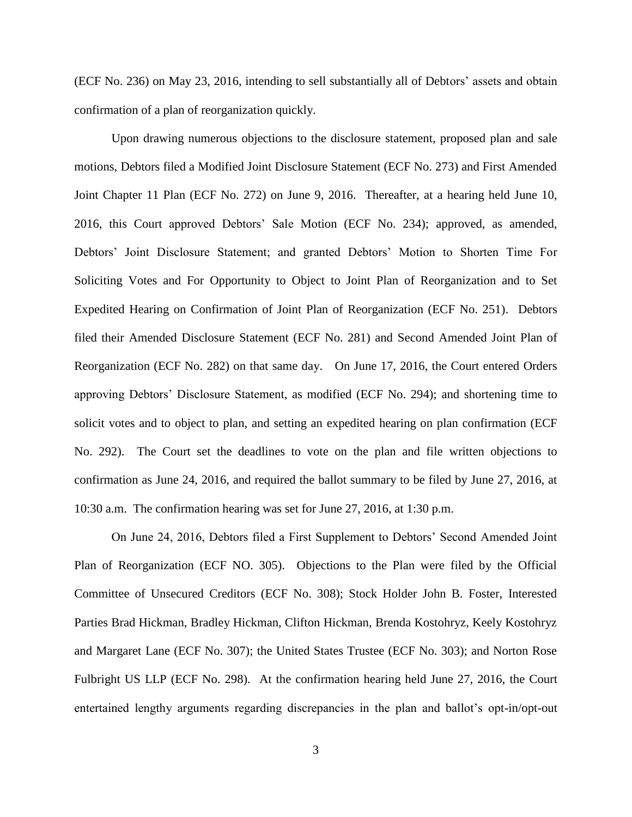(ECF No. 236) on May 23, 2016, intending to sell substantially all of Debtors' assets and obtain confirmation of a plan of reorganization quickly.

Upon drawing numerous objections to the disclosure statement, proposed plan and sale motions, Debtors filed a Modified Joint Disclosure Statement (ECF No. 273) and First Amended Joint Chapter 11 Plan (ECF No. 272) on June 9, 2016. Thereafter, at a hearing held June 10, 2016, this Court approved Debtors' Sale Motion (ECF No. 234); approved, as amended, Debtors' Joint Disclosure Statement; and granted Debtors' Motion to Shorten Time For Soliciting Votes and For Opportunity to Object to Joint Plan of Reorganization and to Set Expedited Hearing on Confirmation of Joint Plan of Reorganization (ECF No. 251). Debtors filed their Amended Disclosure Statement (ECF No. 281) and Second Amended Joint Plan of Reorganization (ECF No. 282) on that same day. On June 17, 2016, the Court entered Orders approving Debtors' Disclosure Statement, as modified (ECF No. 294); and shortening time to solicit votes and to object to plan, and setting an expedited hearing on plan confirmation (ECF No. 292). The Court set the deadlines to vote on the plan and file written objections to confirmation as June 24, 2016, and required the ballot summary to be filed by June 27, 2016, at 10:30 a.m. The confirmation hearing was set for June 27, 2016, at 1:30 p.m.

On June 24, 2016, Debtors filed a First Supplement to Debtors' Second Amended Joint Plan of Reorganization (ECF NO. 305). Objections to the Plan were filed by the Official Committee of Unsecured Creditors (ECF No. 308); Stock Holder John B. Foster, Interested Parties Brad Hickman, Bradley Hickman, Clifton Hickman, Brenda Kostohryz, Keely Kostohryz and Margaret Lane (ECF No. 307); the United States Trustee (ECF No. 303); and Norton Rose Fulbright US LLP (ECF No. 298). At the confirmation hearing held June 27, 2016, the Court entertained lengthy arguments regarding discrepancies in the plan and ballot's opt-in/opt-out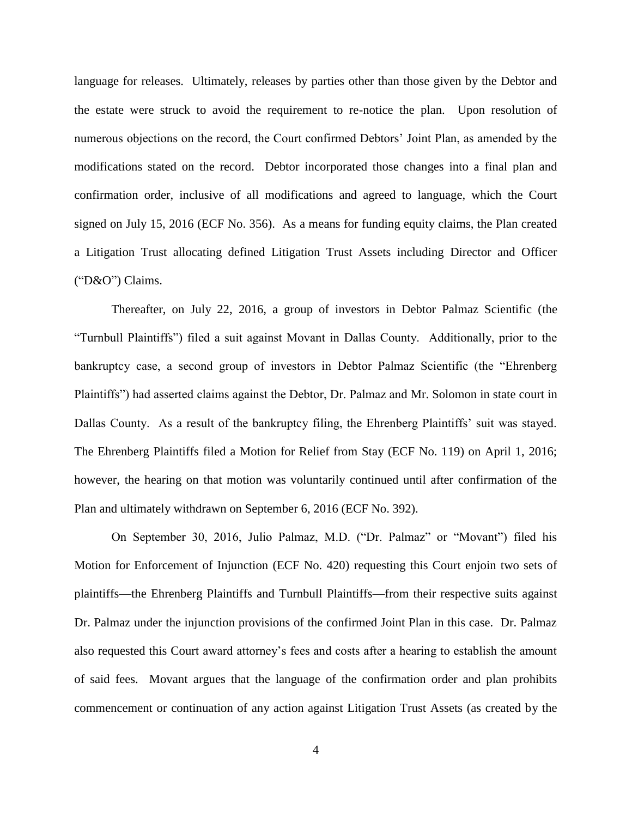language for releases. Ultimately, releases by parties other than those given by the Debtor and the estate were struck to avoid the requirement to re-notice the plan. Upon resolution of numerous objections on the record, the Court confirmed Debtors' Joint Plan, as amended by the modifications stated on the record. Debtor incorporated those changes into a final plan and confirmation order, inclusive of all modifications and agreed to language, which the Court signed on July 15, 2016 (ECF No. 356). As a means for funding equity claims, the Plan created a Litigation Trust allocating defined Litigation Trust Assets including Director and Officer ("D&O") Claims.

Thereafter, on July 22, 2016, a group of investors in Debtor Palmaz Scientific (the "Turnbull Plaintiffs") filed a suit against Movant in Dallas County. Additionally, prior to the bankruptcy case, a second group of investors in Debtor Palmaz Scientific (the "Ehrenberg Plaintiffs") had asserted claims against the Debtor, Dr. Palmaz and Mr. Solomon in state court in Dallas County. As a result of the bankruptcy filing, the Ehrenberg Plaintiffs' suit was stayed. The Ehrenberg Plaintiffs filed a Motion for Relief from Stay (ECF No. 119) on April 1, 2016; however, the hearing on that motion was voluntarily continued until after confirmation of the Plan and ultimately withdrawn on September 6, 2016 (ECF No. 392).

On September 30, 2016, Julio Palmaz, M.D. ("Dr. Palmaz" or "Movant") filed his Motion for Enforcement of Injunction (ECF No. 420) requesting this Court enjoin two sets of plaintiffs—the Ehrenberg Plaintiffs and Turnbull Plaintiffs—from their respective suits against Dr. Palmaz under the injunction provisions of the confirmed Joint Plan in this case. Dr. Palmaz also requested this Court award attorney's fees and costs after a hearing to establish the amount of said fees. Movant argues that the language of the confirmation order and plan prohibits commencement or continuation of any action against Litigation Trust Assets (as created by the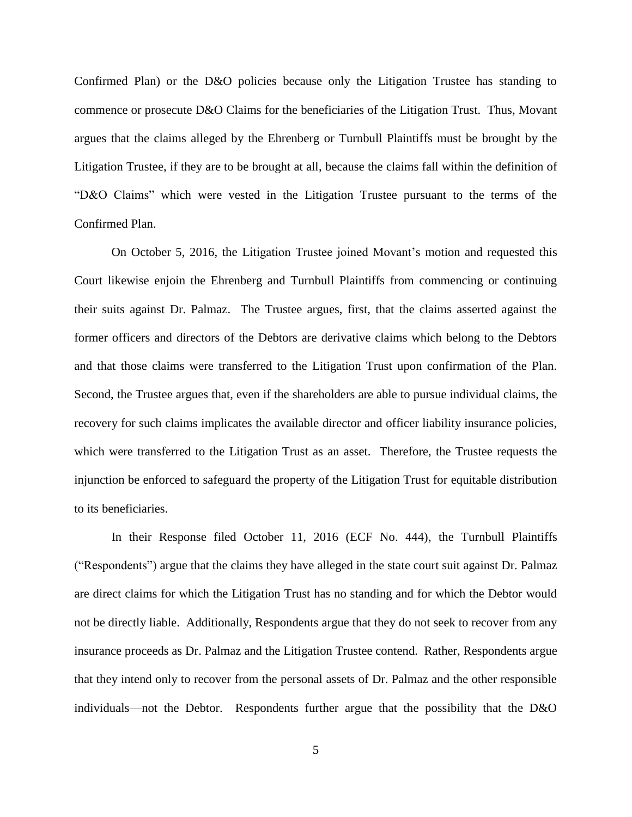Confirmed Plan) or the D&O policies because only the Litigation Trustee has standing to commence or prosecute D&O Claims for the beneficiaries of the Litigation Trust. Thus, Movant argues that the claims alleged by the Ehrenberg or Turnbull Plaintiffs must be brought by the Litigation Trustee, if they are to be brought at all, because the claims fall within the definition of "D&O Claims" which were vested in the Litigation Trustee pursuant to the terms of the Confirmed Plan.

On October 5, 2016, the Litigation Trustee joined Movant's motion and requested this Court likewise enjoin the Ehrenberg and Turnbull Plaintiffs from commencing or continuing their suits against Dr. Palmaz. The Trustee argues, first, that the claims asserted against the former officers and directors of the Debtors are derivative claims which belong to the Debtors and that those claims were transferred to the Litigation Trust upon confirmation of the Plan. Second, the Trustee argues that, even if the shareholders are able to pursue individual claims, the recovery for such claims implicates the available director and officer liability insurance policies, which were transferred to the Litigation Trust as an asset. Therefore, the Trustee requests the injunction be enforced to safeguard the property of the Litigation Trust for equitable distribution to its beneficiaries.

In their Response filed October 11, 2016 (ECF No. 444), the Turnbull Plaintiffs ("Respondents") argue that the claims they have alleged in the state court suit against Dr. Palmaz are direct claims for which the Litigation Trust has no standing and for which the Debtor would not be directly liable. Additionally, Respondents argue that they do not seek to recover from any insurance proceeds as Dr. Palmaz and the Litigation Trustee contend. Rather, Respondents argue that they intend only to recover from the personal assets of Dr. Palmaz and the other responsible individuals—not the Debtor. Respondents further argue that the possibility that the D&O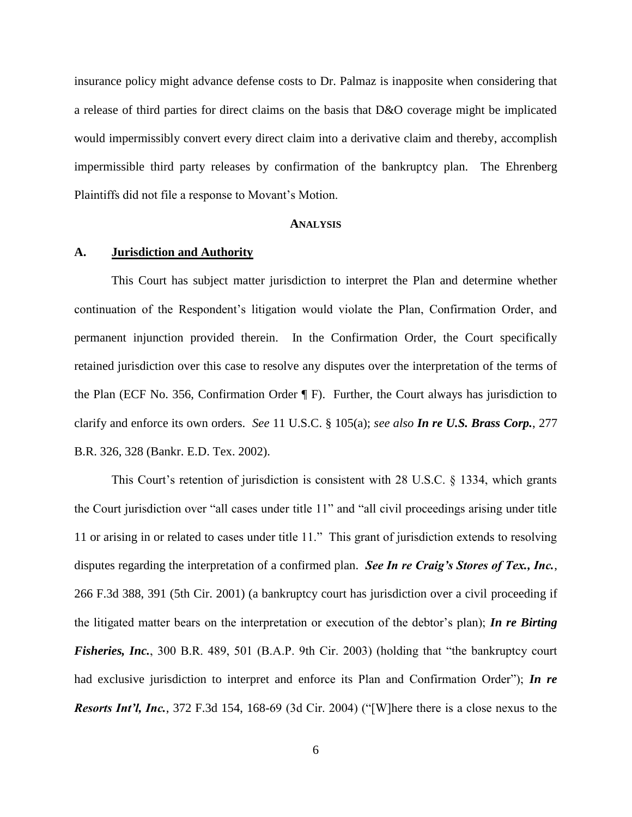insurance policy might advance defense costs to Dr. Palmaz is inapposite when considering that a release of third parties for direct claims on the basis that D&O coverage might be implicated would impermissibly convert every direct claim into a derivative claim and thereby, accomplish impermissible third party releases by confirmation of the bankruptcy plan. The Ehrenberg Plaintiffs did not file a response to Movant's Motion.

#### **ANALYSIS**

### **A. Jurisdiction and Authority**

This Court has subject matter jurisdiction to interpret the Plan and determine whether continuation of the Respondent's litigation would violate the Plan, Confirmation Order, and permanent injunction provided therein. In the Confirmation Order, the Court specifically retained jurisdiction over this case to resolve any disputes over the interpretation of the terms of the Plan (ECF No. 356, Confirmation Order ¶ F). Further, the Court always has jurisdiction to clarify and enforce its own orders. *See* 11 U.S.C. § 105(a); *see also In re U.S. Brass Corp.*, 277 B.R. 326, 328 (Bankr. E.D. Tex. 2002).

This Court's retention of jurisdiction is consistent with 28 U.S.C. § 1334, which grants the Court jurisdiction over "all cases under title 11" and "all civil proceedings arising under title 11 or arising in or related to cases under title 11." This grant of jurisdiction extends to resolving disputes regarding the interpretation of a confirmed plan. *See In re Craig's Stores of Tex., Inc.*, 266 F.3d 388, 391 (5th Cir. 2001) (a bankruptcy court has jurisdiction over a civil proceeding if the litigated matter bears on the interpretation or execution of the debtor's plan); *In re Birting Fisheries, Inc.*, 300 B.R. 489, 501 (B.A.P. 9th Cir. 2003) (holding that "the bankruptcy court had exclusive jurisdiction to interpret and enforce its Plan and Confirmation Order"); *In re Resorts Int'l, Inc.*, 372 F.3d 154, 168-69 (3d Cir. 2004) ("[W]here there is a close nexus to the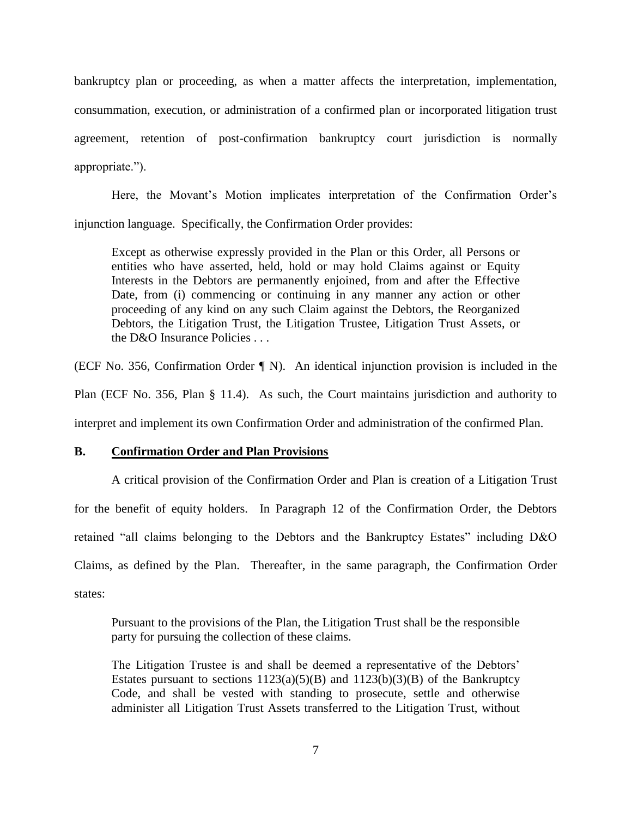bankruptcy plan or proceeding, as when a matter affects the interpretation, implementation, consummation, execution, or administration of a confirmed plan or incorporated litigation trust agreement, retention of post-confirmation bankruptcy court jurisdiction is normally appropriate.").

Here, the Movant's Motion implicates interpretation of the Confirmation Order's injunction language. Specifically, the Confirmation Order provides:

Except as otherwise expressly provided in the Plan or this Order, all Persons or entities who have asserted, held, hold or may hold Claims against or Equity Interests in the Debtors are permanently enjoined, from and after the Effective Date, from (i) commencing or continuing in any manner any action or other proceeding of any kind on any such Claim against the Debtors, the Reorganized Debtors, the Litigation Trust, the Litigation Trustee, Litigation Trust Assets, or the D&O Insurance Policies . . .

(ECF No. 356, Confirmation Order ¶ N). An identical injunction provision is included in the

Plan (ECF No. 356, Plan § 11.4). As such, the Court maintains jurisdiction and authority to

interpret and implement its own Confirmation Order and administration of the confirmed Plan.

## **B. Confirmation Order and Plan Provisions**

A critical provision of the Confirmation Order and Plan is creation of a Litigation Trust for the benefit of equity holders. In Paragraph 12 of the Confirmation Order, the Debtors retained "all claims belonging to the Debtors and the Bankruptcy Estates" including D&O Claims, as defined by the Plan. Thereafter, in the same paragraph, the Confirmation Order states:

Pursuant to the provisions of the Plan, the Litigation Trust shall be the responsible party for pursuing the collection of these claims.

The Litigation Trustee is and shall be deemed a representative of the Debtors' Estates pursuant to sections  $1123(a)(5)(B)$  and  $1123(b)(3)(B)$  of the Bankruptcy Code, and shall be vested with standing to prosecute, settle and otherwise administer all Litigation Trust Assets transferred to the Litigation Trust, without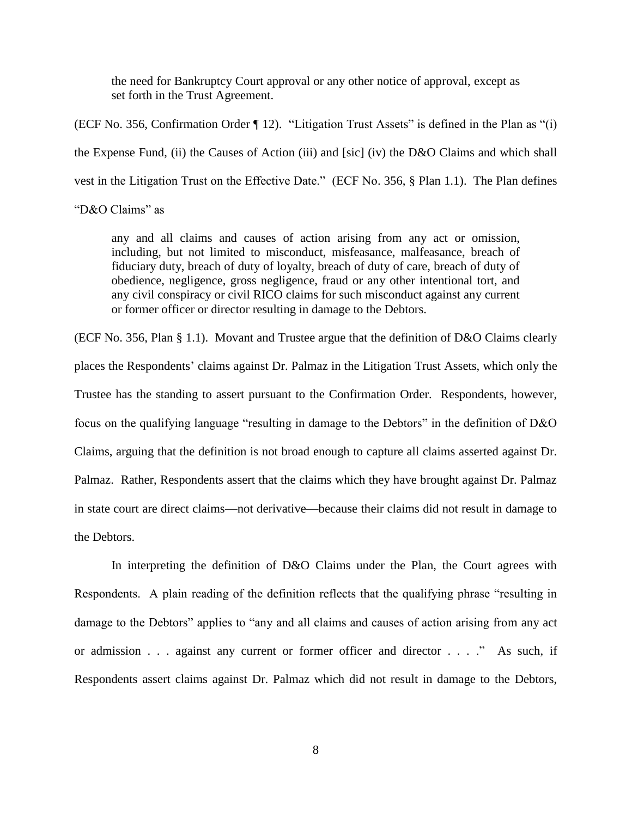the need for Bankruptcy Court approval or any other notice of approval, except as set forth in the Trust Agreement.

(ECF No. 356, Confirmation Order ¶ 12). "Litigation Trust Assets" is defined in the Plan as "(i) the Expense Fund, (ii) the Causes of Action (iii) and [sic] (iv) the D&O Claims and which shall vest in the Litigation Trust on the Effective Date." (ECF No. 356, § Plan 1.1). The Plan defines

# "D&O Claims" as

any and all claims and causes of action arising from any act or omission, including, but not limited to misconduct, misfeasance, malfeasance, breach of fiduciary duty, breach of duty of loyalty, breach of duty of care, breach of duty of obedience, negligence, gross negligence, fraud or any other intentional tort, and any civil conspiracy or civil RICO claims for such misconduct against any current or former officer or director resulting in damage to the Debtors.

(ECF No. 356, Plan § 1.1). Movant and Trustee argue that the definition of D&O Claims clearly places the Respondents' claims against Dr. Palmaz in the Litigation Trust Assets, which only the Trustee has the standing to assert pursuant to the Confirmation Order. Respondents, however, focus on the qualifying language "resulting in damage to the Debtors" in the definition of D&O Claims, arguing that the definition is not broad enough to capture all claims asserted against Dr. Palmaz. Rather, Respondents assert that the claims which they have brought against Dr. Palmaz in state court are direct claims—not derivative—because their claims did not result in damage to the Debtors.

In interpreting the definition of D&O Claims under the Plan, the Court agrees with Respondents. A plain reading of the definition reflects that the qualifying phrase "resulting in damage to the Debtors" applies to "any and all claims and causes of action arising from any act or admission . . . against any current or former officer and director . . . ." As such, if Respondents assert claims against Dr. Palmaz which did not result in damage to the Debtors,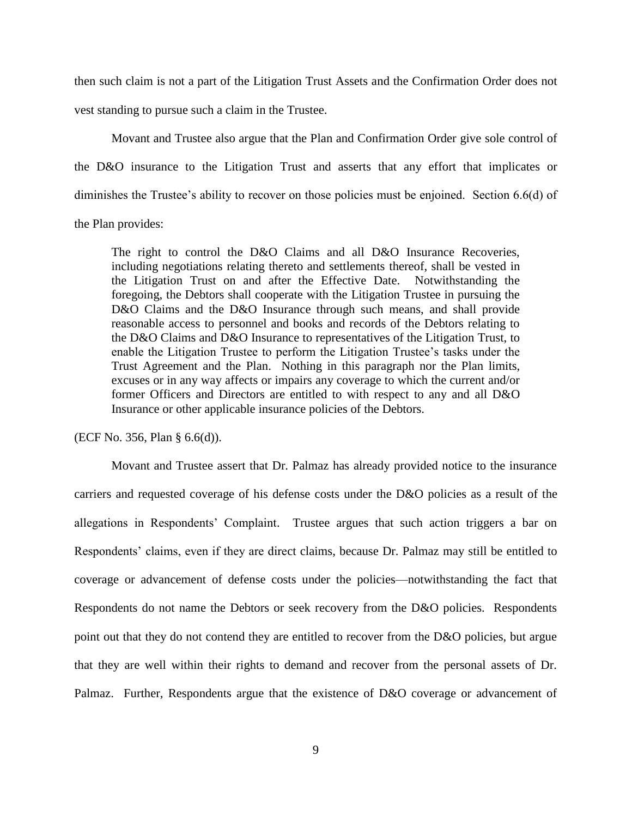then such claim is not a part of the Litigation Trust Assets and the Confirmation Order does not vest standing to pursue such a claim in the Trustee.

Movant and Trustee also argue that the Plan and Confirmation Order give sole control of the D&O insurance to the Litigation Trust and asserts that any effort that implicates or diminishes the Trustee's ability to recover on those policies must be enjoined. Section 6.6(d) of the Plan provides:

The right to control the D&O Claims and all D&O Insurance Recoveries, including negotiations relating thereto and settlements thereof, shall be vested in the Litigation Trust on and after the Effective Date. Notwithstanding the foregoing, the Debtors shall cooperate with the Litigation Trustee in pursuing the D&O Claims and the D&O Insurance through such means, and shall provide reasonable access to personnel and books and records of the Debtors relating to the D&O Claims and D&O Insurance to representatives of the Litigation Trust, to enable the Litigation Trustee to perform the Litigation Trustee's tasks under the Trust Agreement and the Plan. Nothing in this paragraph nor the Plan limits, excuses or in any way affects or impairs any coverage to which the current and/or former Officers and Directors are entitled to with respect to any and all D&O Insurance or other applicable insurance policies of the Debtors.

(ECF No. 356, Plan § 6.6(d)).

Movant and Trustee assert that Dr. Palmaz has already provided notice to the insurance carriers and requested coverage of his defense costs under the D&O policies as a result of the allegations in Respondents' Complaint. Trustee argues that such action triggers a bar on Respondents' claims, even if they are direct claims, because Dr. Palmaz may still be entitled to coverage or advancement of defense costs under the policies—notwithstanding the fact that Respondents do not name the Debtors or seek recovery from the D&O policies. Respondents point out that they do not contend they are entitled to recover from the D&O policies, but argue that they are well within their rights to demand and recover from the personal assets of Dr. Palmaz. Further, Respondents argue that the existence of D&O coverage or advancement of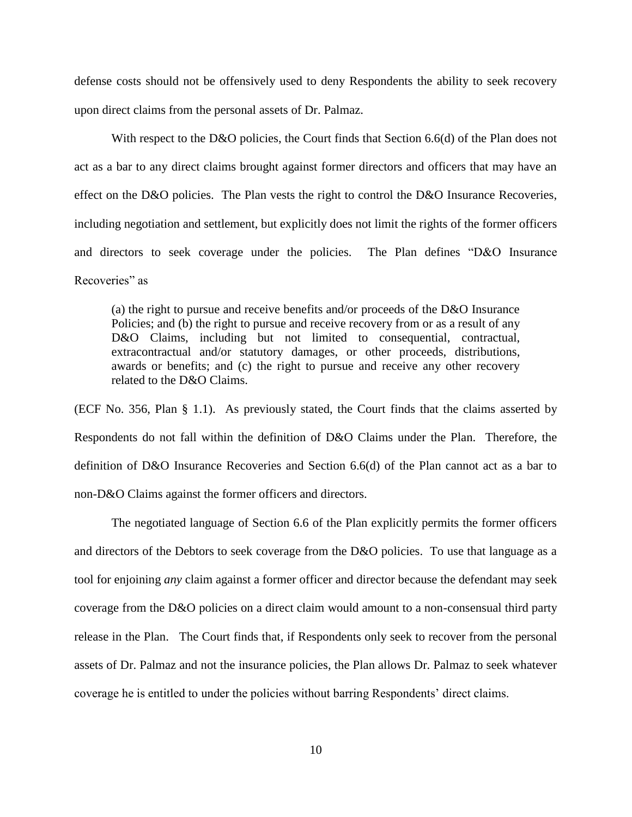defense costs should not be offensively used to deny Respondents the ability to seek recovery upon direct claims from the personal assets of Dr. Palmaz.

With respect to the D&O policies, the Court finds that Section 6.6(d) of the Plan does not act as a bar to any direct claims brought against former directors and officers that may have an effect on the D&O policies. The Plan vests the right to control the D&O Insurance Recoveries, including negotiation and settlement, but explicitly does not limit the rights of the former officers and directors to seek coverage under the policies. The Plan defines "D&O Insurance Recoveries" as

(a) the right to pursue and receive benefits and/or proceeds of the D&O Insurance Policies; and (b) the right to pursue and receive recovery from or as a result of any D&O Claims, including but not limited to consequential, contractual, extracontractual and/or statutory damages, or other proceeds, distributions, awards or benefits; and (c) the right to pursue and receive any other recovery related to the D&O Claims.

(ECF No. 356, Plan § 1.1). As previously stated, the Court finds that the claims asserted by Respondents do not fall within the definition of D&O Claims under the Plan. Therefore, the definition of D&O Insurance Recoveries and Section 6.6(d) of the Plan cannot act as a bar to non-D&O Claims against the former officers and directors.

The negotiated language of Section 6.6 of the Plan explicitly permits the former officers and directors of the Debtors to seek coverage from the D&O policies. To use that language as a tool for enjoining *any* claim against a former officer and director because the defendant may seek coverage from the D&O policies on a direct claim would amount to a non-consensual third party release in the Plan. The Court finds that, if Respondents only seek to recover from the personal assets of Dr. Palmaz and not the insurance policies, the Plan allows Dr. Palmaz to seek whatever coverage he is entitled to under the policies without barring Respondents' direct claims.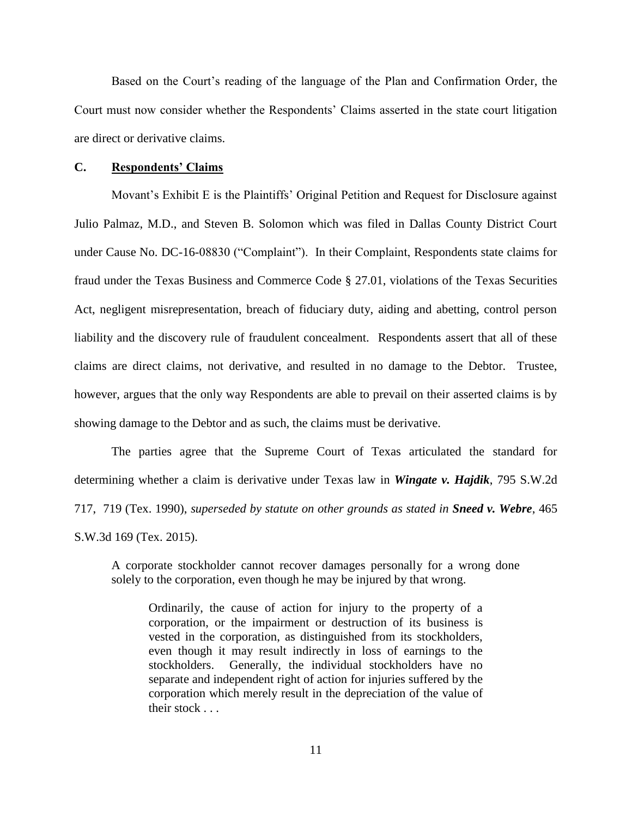Based on the Court's reading of the language of the Plan and Confirmation Order, the Court must now consider whether the Respondents' Claims asserted in the state court litigation are direct or derivative claims.

#### **C. Respondents' Claims**

Movant's Exhibit E is the Plaintiffs' Original Petition and Request for Disclosure against Julio Palmaz, M.D., and Steven B. Solomon which was filed in Dallas County District Court under Cause No. DC-16-08830 ("Complaint"). In their Complaint, Respondents state claims for fraud under the Texas Business and Commerce Code § 27.01, violations of the Texas Securities Act, negligent misrepresentation, breach of fiduciary duty, aiding and abetting, control person liability and the discovery rule of fraudulent concealment. Respondents assert that all of these claims are direct claims, not derivative, and resulted in no damage to the Debtor. Trustee, however, argues that the only way Respondents are able to prevail on their asserted claims is by showing damage to the Debtor and as such, the claims must be derivative.

The parties agree that the Supreme Court of Texas articulated the standard for determining whether a claim is derivative under Texas law in *Wingate v. Hajdik*, 795 S.W.2d 717, 719 (Tex. 1990), *superseded by statute on other grounds as stated in Sneed v. Webre*, 465 S.W.3d 169 (Tex. 2015).

A corporate stockholder cannot recover damages personally for a wrong done solely to the corporation, even though he may be injured by that wrong.

Ordinarily, the cause of action for injury to the property of a corporation, or the impairment or destruction of its business is vested in the corporation, as distinguished from its stockholders, even though it may result indirectly in loss of earnings to the stockholders. Generally, the individual stockholders have no separate and independent right of action for injuries suffered by the corporation which merely result in the depreciation of the value of their stock . . .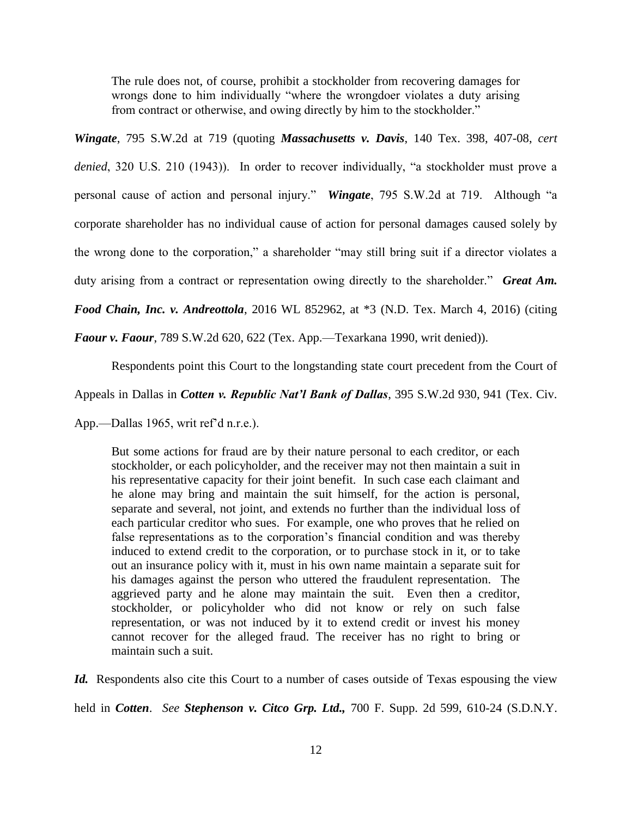The rule does not, of course, prohibit a stockholder from recovering damages for wrongs done to him individually "where the wrongdoer violates a duty arising from contract or otherwise, and owing directly by him to the stockholder."

*Wingate*, 795 S.W.2d at 719 (quoting *Massachusetts v. Davis*, 140 Tex. 398, 407-08, *cert* 

*denied*, 320 U.S. 210 (1943)). In order to recover individually, "a stockholder must prove a personal cause of action and personal injury." *Wingate*, 795 S.W.2d at 719. Although "a corporate shareholder has no individual cause of action for personal damages caused solely by the wrong done to the corporation," a shareholder "may still bring suit if a director violates a

duty arising from a contract or representation owing directly to the shareholder." *Great Am.* 

*Food Chain, Inc. v. Andreottola*, 2016 WL 852962, at \*3 (N.D. Tex. March 4, 2016) (citing

*Faour v. Faour*, 789 S.W.2d 620, 622 (Tex. App.—Texarkana 1990, writ denied)).

Respondents point this Court to the longstanding state court precedent from the Court of

Appeals in Dallas in *Cotten v. Republic Nat'l Bank of Dallas*, 395 S.W.2d 930, 941 (Tex. Civ.

App.—Dallas 1965, writ ref'd n.r.e.).

But some actions for fraud are by their nature personal to each creditor, or each stockholder, or each policyholder, and the receiver may not then maintain a suit in his representative capacity for their joint benefit. In such case each claimant and he alone may bring and maintain the suit himself, for the action is personal, separate and several, not joint, and extends no further than the individual loss of each particular creditor who sues. For example, one who proves that he relied on false representations as to the corporation's financial condition and was thereby induced to extend credit to the corporation, or to purchase stock in it, or to take out an insurance policy with it, must in his own name maintain a separate suit for his damages against the person who uttered the fraudulent representation. The aggrieved party and he alone may maintain the suit. Even then a creditor, stockholder, or policyholder who did not know or rely on such false representation, or was not induced by it to extend credit or invest his money cannot recover for the alleged fraud. The receiver has no right to bring or maintain such a suit.

*Id.* Respondents also cite this Court to a number of cases outside of Texas espousing the view held in *Cotten*. *See Stephenson v. Citco Grp. Ltd.,* 700 F. Supp. 2d 599, 610-24 (S.D.N.Y.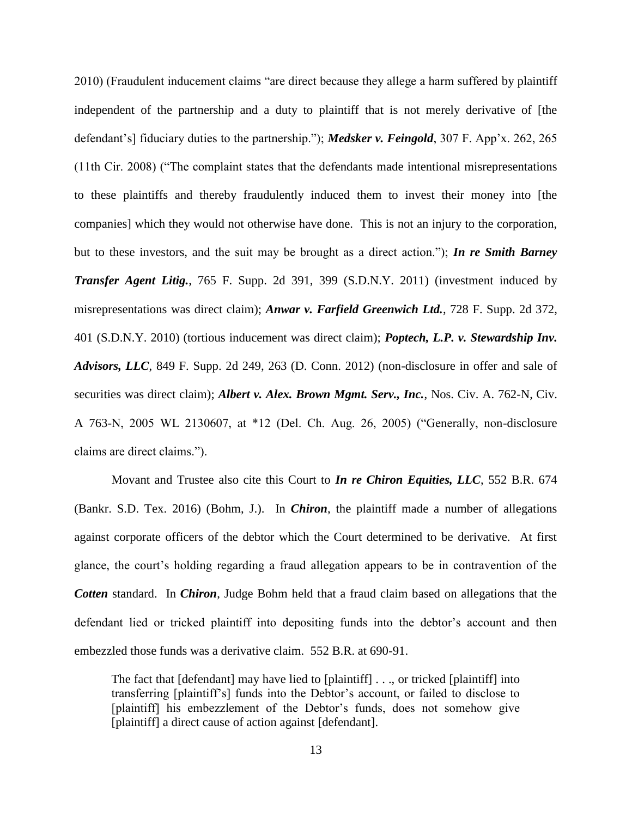2010) (Fraudulent inducement claims "are direct because they allege a harm suffered by plaintiff independent of the partnership and a duty to plaintiff that is not merely derivative of [the defendant's] fiduciary duties to the partnership."); *Medsker v. Feingold*, 307 F. App'x. 262, 265 (11th Cir. 2008) ("The complaint states that the defendants made intentional misrepresentations to these plaintiffs and thereby fraudulently induced them to invest their money into [the companies] which they would not otherwise have done. This is not an injury to the corporation, but to these investors, and the suit may be brought as a direct action."); *In re Smith Barney Transfer Agent Litig.*, 765 F. Supp. 2d 391, 399 (S.D.N.Y. 2011) (investment induced by misrepresentations was direct claim); *Anwar v. Farfield Greenwich Ltd.*, 728 F. Supp. 2d 372, 401 (S.D.N.Y. 2010) (tortious inducement was direct claim); *Poptech, L.P. v. Stewardship Inv. Advisors, LLC*, 849 F. Supp. 2d 249, 263 (D. Conn. 2012) (non-disclosure in offer and sale of securities was direct claim); *Albert v. Alex. Brown Mgmt. Serv., Inc.*, Nos. Civ. A. 762-N, Civ. A 763-N, 2005 WL 2130607, at \*12 (Del. Ch. Aug. 26, 2005) ("Generally, non-disclosure claims are direct claims.").

Movant and Trustee also cite this Court to *In re Chiron Equities, LLC*, 552 B.R. 674 (Bankr. S.D. Tex. 2016) (Bohm, J.). In *Chiron*, the plaintiff made a number of allegations against corporate officers of the debtor which the Court determined to be derivative. At first glance, the court's holding regarding a fraud allegation appears to be in contravention of the *Cotten* standard. In *Chiron*, Judge Bohm held that a fraud claim based on allegations that the defendant lied or tricked plaintiff into depositing funds into the debtor's account and then embezzled those funds was a derivative claim. 552 B.R. at 690-91.

The fact that [defendant] may have lied to [plaintiff] . . ., or tricked [plaintiff] into transferring [plaintiff's] funds into the Debtor's account, or failed to disclose to [plaintiff] his embezzlement of the Debtor's funds, does not somehow give [plaintiff] a direct cause of action against [defendant].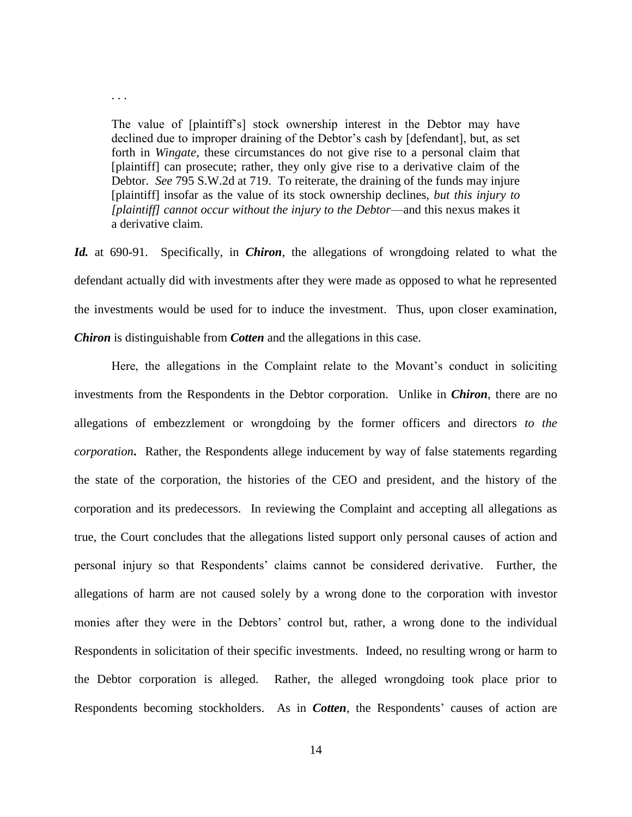The value of [plaintiff's] stock ownership interest in the Debtor may have declined due to improper draining of the Debtor's cash by [defendant], but, as set forth in *Wingate*, these circumstances do not give rise to a personal claim that [plaintiff] can prosecute; rather, they only give rise to a derivative claim of the Debtor. *See* 795 S.W.2d at 719. To reiterate, the draining of the funds may injure [plaintiff] insofar as the value of its stock ownership declines, *but this injury to [plaintiff] cannot occur without the injury to the Debtor*—and this nexus makes it a derivative claim.

. . .

*Id.* at 690-91. Specifically, in *Chiron*, the allegations of wrongdoing related to what the defendant actually did with investments after they were made as opposed to what he represented the investments would be used for to induce the investment. Thus, upon closer examination, *Chiron* is distinguishable from *Cotten* and the allegations in this case.

Here, the allegations in the Complaint relate to the Movant's conduct in soliciting investments from the Respondents in the Debtor corporation. Unlike in *Chiron*, there are no allegations of embezzlement or wrongdoing by the former officers and directors *to the corporation***.** Rather, the Respondents allege inducement by way of false statements regarding the state of the corporation, the histories of the CEO and president, and the history of the corporation and its predecessors. In reviewing the Complaint and accepting all allegations as true, the Court concludes that the allegations listed support only personal causes of action and personal injury so that Respondents' claims cannot be considered derivative. Further, the allegations of harm are not caused solely by a wrong done to the corporation with investor monies after they were in the Debtors' control but, rather, a wrong done to the individual Respondents in solicitation of their specific investments. Indeed, no resulting wrong or harm to the Debtor corporation is alleged. Rather, the alleged wrongdoing took place prior to Respondents becoming stockholders. As in *Cotten*, the Respondents' causes of action are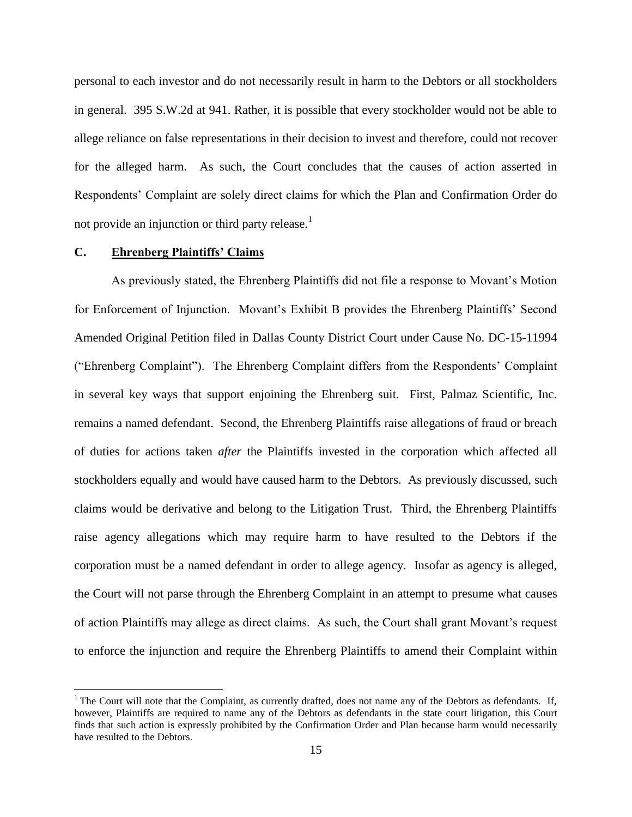personal to each investor and do not necessarily result in harm to the Debtors or all stockholders in general. 395 S.W.2d at 941. Rather, it is possible that every stockholder would not be able to allege reliance on false representations in their decision to invest and therefore, could not recover for the alleged harm. As such, the Court concludes that the causes of action asserted in Respondents' Complaint are solely direct claims for which the Plan and Confirmation Order do not provide an injunction or third party release.<sup>1</sup>

#### **C. Ehrenberg Plaintiffs' Claims**

 $\overline{a}$ 

As previously stated, the Ehrenberg Plaintiffs did not file a response to Movant's Motion for Enforcement of Injunction. Movant's Exhibit B provides the Ehrenberg Plaintiffs' Second Amended Original Petition filed in Dallas County District Court under Cause No. DC-15-11994 ("Ehrenberg Complaint"). The Ehrenberg Complaint differs from the Respondents' Complaint in several key ways that support enjoining the Ehrenberg suit. First, Palmaz Scientific, Inc. remains a named defendant. Second, the Ehrenberg Plaintiffs raise allegations of fraud or breach of duties for actions taken *after* the Plaintiffs invested in the corporation which affected all stockholders equally and would have caused harm to the Debtors. As previously discussed, such claims would be derivative and belong to the Litigation Trust. Third, the Ehrenberg Plaintiffs raise agency allegations which may require harm to have resulted to the Debtors if the corporation must be a named defendant in order to allege agency. Insofar as agency is alleged, the Court will not parse through the Ehrenberg Complaint in an attempt to presume what causes of action Plaintiffs may allege as direct claims. As such, the Court shall grant Movant's request to enforce the injunction and require the Ehrenberg Plaintiffs to amend their Complaint within

 $<sup>1</sup>$  The Court will note that the Complaint, as currently drafted, does not name any of the Debtors as defendants. If,</sup> however, Plaintiffs are required to name any of the Debtors as defendants in the state court litigation, this Court finds that such action is expressly prohibited by the Confirmation Order and Plan because harm would necessarily have resulted to the Debtors.